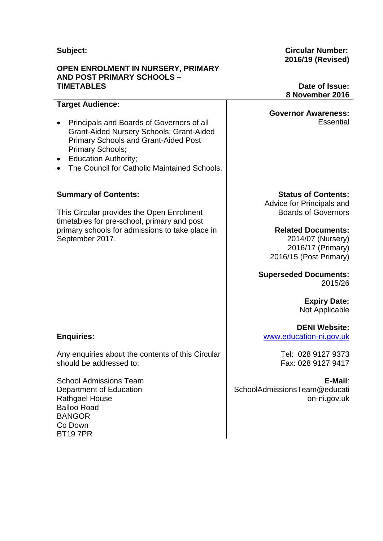### **Subject:**

#### **OPEN ENROLMENT IN NURSERY, PRIMARY AND POST PRIMARY SCHOOLS – TIMETABLES**

#### **Circular Number: 2016/19 (Revised)**

### **Date of Issue: 8 November 2016**

**Essential** 

#### **Target Audience:**

- Principals and Boards of Governors of all Grant-Aided Nursery Schools; Grant-Aided Primary Schools and Grant-Aided Post Primary Schools;
- Education Authority;
- The Council for Catholic Maintained Schools

#### **Summary of Contents:**

This Circular provides the Open Enrolment timetables for pre-school, primary and post primary schools for admissions to take place in September 2017.

**Enquiries:**

Any enquiries about the contents of this Circular should be addressed to:

School Admissions Team Department of Education Rathgael House Balloo Road BANGOR Co Down BT19 7PR

**Governor Awareness:**

**Status of Contents:**

Advice for Principals and Boards of Governors

**Related Documents:** 2014/07 (Nursery) 2016/17 (Primary) 2016/15 (Post Primary)

**Superseded Documents:** 2015/26

> **Expiry Date:** Not Applicable

**DENI Website:** [www.education-ni.gov.uk](http://www.education-ni.gov.uk/)

> Tel: 028 9127 9373 Fax: 028 9127 9417

**E-Mail**: SchoolAdmissionsTeam@educati on-ni.gov.uk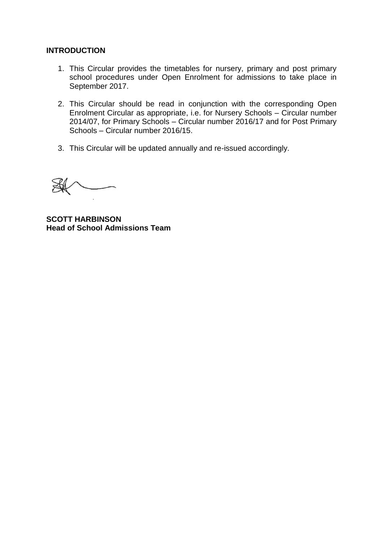#### **INTRODUCTION**

- 1. This Circular provides the timetables for nursery, primary and post primary school procedures under Open Enrolment for admissions to take place in September 2017.
- 2. This Circular should be read in conjunction with the corresponding Open Enrolment Circular as appropriate, i.e. for Nursery Schools – Circular number 2014/07, for Primary Schools – Circular number 2016/17 and for Post Primary Schools – Circular number 2016/15.
- 3. This Circular will be updated annually and re-issued accordingly.

**SCOTT HARBINSON Head of School Admissions Team**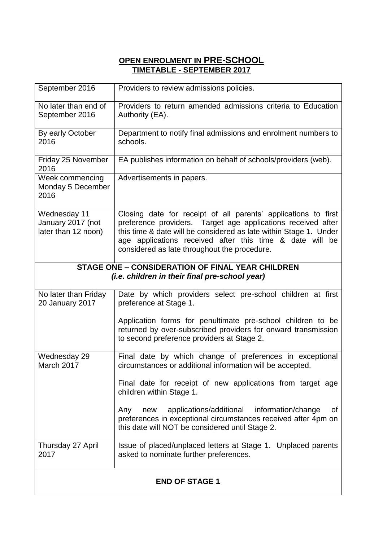# **OPEN ENROLMENT IN PRE-SCHOOL TIMETABLE - SEPTEMBER 2017**

| September 2016                                                                                            | Providers to review admissions policies.                                                                                                                                                                                                                                                                        |  |
|-----------------------------------------------------------------------------------------------------------|-----------------------------------------------------------------------------------------------------------------------------------------------------------------------------------------------------------------------------------------------------------------------------------------------------------------|--|
| No later than end of<br>September 2016                                                                    | Providers to return amended admissions criteria to Education<br>Authority (EA).                                                                                                                                                                                                                                 |  |
| By early October<br>2016                                                                                  | Department to notify final admissions and enrolment numbers to<br>schools.                                                                                                                                                                                                                                      |  |
| Friday 25 November<br>2016                                                                                | EA publishes information on behalf of schools/providers (web).                                                                                                                                                                                                                                                  |  |
| Week commencing<br>Monday 5 December<br>2016                                                              | Advertisements in papers.                                                                                                                                                                                                                                                                                       |  |
| Wednesday 11<br>January 2017 (not<br>later than 12 noon)                                                  | Closing date for receipt of all parents' applications to first<br>preference providers. Target age applications received after<br>this time & date will be considered as late within Stage 1. Under<br>age applications received after this time & date will be<br>considered as late throughout the procedure. |  |
| <b>STAGE ONE - CONSIDERATION OF FINAL YEAR CHILDREN</b><br>(i.e. children in their final pre-school year) |                                                                                                                                                                                                                                                                                                                 |  |
| No later than Friday<br>20 January 2017                                                                   | Date by which providers select pre-school children at first<br>preference at Stage 1.                                                                                                                                                                                                                           |  |
|                                                                                                           | Application forms for penultimate pre-school children to be<br>returned by over-subscribed providers for onward transmission<br>to second preference providers at Stage 2.                                                                                                                                      |  |
| Wednesday 29<br>March 2017                                                                                | Final date by which change of preferences in exceptional<br>circumstances or additional information will be accepted.                                                                                                                                                                                           |  |
|                                                                                                           | Final date for receipt of new applications from target age<br>children within Stage 1.                                                                                                                                                                                                                          |  |
|                                                                                                           | applications/additional information/change<br>οf<br>Any<br>new<br>preferences in exceptional circumstances received after 4pm on<br>this date will NOT be considered until Stage 2.                                                                                                                             |  |
| Thursday 27 April<br>2017                                                                                 | Issue of placed/unplaced letters at Stage 1. Unplaced parents<br>asked to nominate further preferences.                                                                                                                                                                                                         |  |
| <b>END OF STAGE 1</b>                                                                                     |                                                                                                                                                                                                                                                                                                                 |  |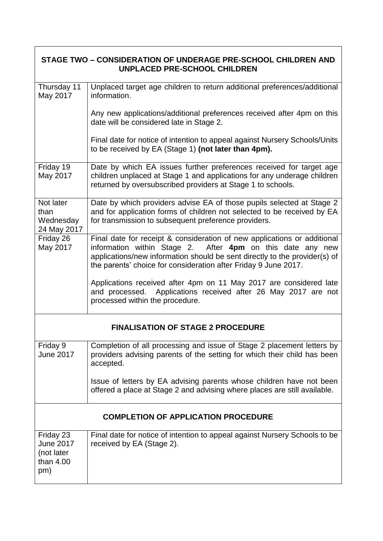| STAGE TWO – CONSIDERATION OF UNDERAGE PRE-SCHOOL CHILDREN AND<br>UNPLACED PRE-SCHOOL CHILDREN |                                                                                                                                                                                                                                                                                         |  |
|-----------------------------------------------------------------------------------------------|-----------------------------------------------------------------------------------------------------------------------------------------------------------------------------------------------------------------------------------------------------------------------------------------|--|
| Thursday 11<br>May 2017                                                                       | Unplaced target age children to return additional preferences/additional<br>information.                                                                                                                                                                                                |  |
|                                                                                               | Any new applications/additional preferences received after 4pm on this<br>date will be considered late in Stage 2.                                                                                                                                                                      |  |
|                                                                                               | Final date for notice of intention to appeal against Nursery Schools/Units<br>to be received by EA (Stage 1) (not later than 4pm).                                                                                                                                                      |  |
| Friday 19<br>May 2017                                                                         | Date by which EA issues further preferences received for target age<br>children unplaced at Stage 1 and applications for any underage children<br>returned by oversubscribed providers at Stage 1 to schools.                                                                           |  |
| Not later<br>than<br>Wednesday<br>24 May 2017                                                 | Date by which providers advise EA of those pupils selected at Stage 2<br>and for application forms of children not selected to be received by EA<br>for transmission to subsequent preference providers.                                                                                |  |
| Friday 26<br>May 2017                                                                         | Final date for receipt & consideration of new applications or additional<br>information within Stage 2. After 4pm on this date any new<br>applications/new information should be sent directly to the provider(s) of<br>the parents' choice for consideration after Friday 9 June 2017. |  |
|                                                                                               | Applications received after 4pm on 11 May 2017 are considered late<br>and processed. Applications received after 26 May 2017 are not<br>processed within the procedure.                                                                                                                 |  |
| <b>FINALISATION OF STAGE 2 PROCEDURE</b>                                                      |                                                                                                                                                                                                                                                                                         |  |
| Friday 9<br><b>June 2017</b>                                                                  | Completion of all processing and issue of Stage 2 placement letters by<br>providers advising parents of the setting for which their child has been<br>accepted.                                                                                                                         |  |
|                                                                                               | Issue of letters by EA advising parents whose children have not been<br>offered a place at Stage 2 and advising where places are still available.                                                                                                                                       |  |
| <b>COMPLETION OF APPLICATION PROCEDURE</b>                                                    |                                                                                                                                                                                                                                                                                         |  |
| Friday 23<br>June 2017<br>(not later<br>than 4.00<br>pm)                                      | Final date for notice of intention to appeal against Nursery Schools to be<br>received by EA (Stage 2).                                                                                                                                                                                 |  |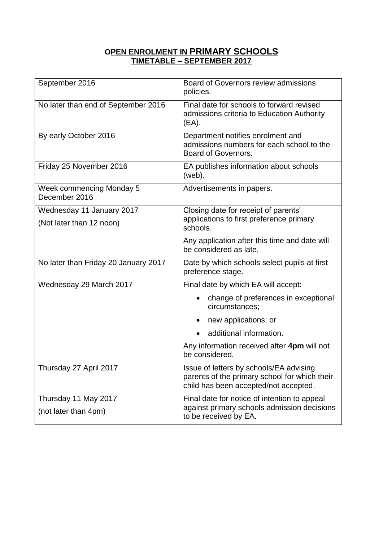# **OPEN ENROLMENT IN PRIMARY SCHOOLS TIMETABLE – SEPTEMBER 2017**

| September 2016                                   | Board of Governors review admissions<br>policies.                                                                                 |  |
|--------------------------------------------------|-----------------------------------------------------------------------------------------------------------------------------------|--|
| No later than end of September 2016              | Final date for schools to forward revised<br>admissions criteria to Education Authority<br>$(EA)$ .                               |  |
| By early October 2016                            | Department notifies enrolment and<br>admissions numbers for each school to the<br>Board of Governors.                             |  |
| Friday 25 November 2016                          | EA publishes information about schools<br>(web).                                                                                  |  |
| <b>Week commencing Monday 5</b><br>December 2016 | Advertisements in papers.                                                                                                         |  |
| Wednesday 11 January 2017                        | Closing date for receipt of parents'                                                                                              |  |
| (Not later than 12 noon)                         | applications to first preference primary<br>schools.                                                                              |  |
|                                                  | Any application after this time and date will<br>be considered as late.                                                           |  |
| No later than Friday 20 January 2017             | Date by which schools select pupils at first<br>preference stage.                                                                 |  |
| Wednesday 29 March 2017                          | Final date by which EA will accept:                                                                                               |  |
|                                                  | change of preferences in exceptional<br>٠<br>circumstances;                                                                       |  |
|                                                  | new applications; or                                                                                                              |  |
|                                                  | additional information.                                                                                                           |  |
|                                                  | Any information received after 4pm will not<br>be considered.                                                                     |  |
| Thursday 27 April 2017                           | Issue of letters by schools/EA advising<br>parents of the primary school for which their<br>child has been accepted/not accepted. |  |
| Thursday 11 May 2017<br>(not later than 4pm)     | Final date for notice of intention to appeal<br>against primary schools admission decisions<br>to be received by EA.              |  |